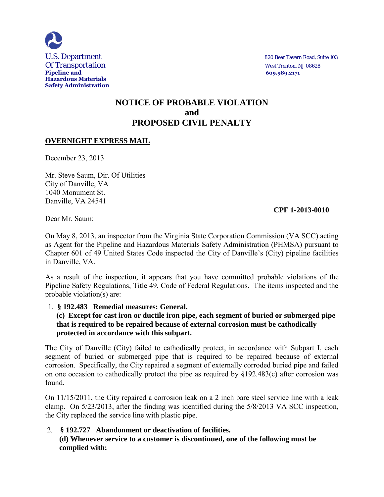

**Pipeline and 609.989.2171**

# **NOTICE OF PROBABLE VIOLATION and PROPOSED CIVIL PENALTY**

# **OVERNIGHT EXPRESS MAIL**

December 23, 2013

Mr. Steve Saum, Dir. Of Utilities City of Danville, VA 1040 Monument St. Danville, VA 24541

#### **CPF 1-2013-0010**

Dear Mr. Saum:

On May 8, 2013, an inspector from the Virginia State Corporation Commission (VA SCC) acting as Agent for the Pipeline and Hazardous Materials Safety Administration (PHMSA) pursuant to Chapter 601 of 49 United States Code inspected the City of Danville's (City) pipeline facilities in Danville, VA.

As a result of the inspection, it appears that you have committed probable violations of the Pipeline Safety Regulations, Title 49, Code of Federal Regulations. The items inspected and the probable violation(s) are:

#### 1. **§ 192.483 Remedial measures: General.**

### **(c) Except for cast iron or ductile iron pipe, each segment of buried or submerged pipe that is required to be repaired because of external corrosion must be cathodically protected in accordance with this subpart.**

The City of Danville (City) failed to cathodically protect, in accordance with Subpart I, each segment of buried or submerged pipe that is required to be repaired because of external corrosion. Specifically, the City repaired a segment of externally corroded buried pipe and failed on one occasion to cathodically protect the pipe as required by §192.483(c) after corrosion was found.

On 11/15/2011, the City repaired a corrosion leak on a 2 inch bare steel service line with a leak clamp. On 5/23/2013, after the finding was identified during the 5/8/2013 VA SCC inspection, the City replaced the service line with plastic pipe.

#### 2. **§ 192.727 Abandonment or deactivation of facilities. (d) Whenever service to a customer is discontinued, one of the following must be complied with:**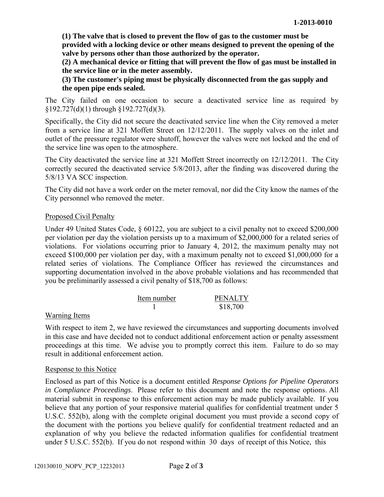**(1) The valve that is closed to prevent the flow of gas to the customer must be provided with a locking device or other means designed to prevent the opening of the valve by persons other than those authorized by the operator.** 

**(2) A mechanical device or fitting that will prevent the flow of gas must be installed in the service line or in the meter assembly.** 

**(3) The customer's piping must be physically disconnected from the gas supply and the open pipe ends sealed.** 

The City failed on one occasion to secure a deactivated service line as required by §192.727(d)(1) through §192.727(d)(3).

Specifically, the City did not secure the deactivated service line when the City removed a meter from a service line at 321 Moffett Street on 12/12/2011. The supply valves on the inlet and outlet of the pressure regulator were shutoff, however the valves were not locked and the end of the service line was open to the atmosphere.

The City deactivated the service line at 321 Moffett Street incorrectly on 12/12/2011. The City correctly secured the deactivated service 5/8/2013, after the finding was discovered during the 5/8/13 VA SCC inspection.

The City did not have a work order on the meter removal, nor did the City know the names of the City personnel who removed the meter.

### Proposed Civil Penalty

Under 49 United States Code, § 60122, you are subject to a civil penalty not to exceed \$200,000 per violation per day the violation persists up to a maximum of \$2,000,000 for a related series of violations. For violations occurring prior to January 4, 2012, the maximum penalty may not exceed \$100,000 per violation per day, with a maximum penalty not to exceed \$1,000,000 for a related series of violations. The Compliance Officer has reviewed the circumstances and supporting documentation involved in the above probable violations and has recommended that you be preliminarily assessed a civil penalty of \$18,700 as follows:

| Item number | <b>PENALTY</b> |
|-------------|----------------|
|             | \$18,700       |

# Warning Items

With respect to item 2, we have reviewed the circumstances and supporting documents involved in this case and have decided not to conduct additional enforcement action or penalty assessment proceedings at this time. We advise you to promptly correct this item. Failure to do so may result in additional enforcement action.

#### Response to this Notice

Enclosed as part of this Notice is a document entitled *Response Options for Pipeline Operators in Compliance Proceedings*. Please refer to this document and note the response options. All material submit in response to this enforcement action may be made publicly available. If you believe that any portion of your responsive material qualifies for confidential treatment under 5 U.S.C. 552(b), along with the complete original document you must provide a second copy of the document with the portions you believe qualify for confidential treatment redacted and an explanation of why you believe the redacted information qualifies for confidential treatment under 5 U.S.C. 552(b). If you do not respond within 30 days of receipt of this Notice, this